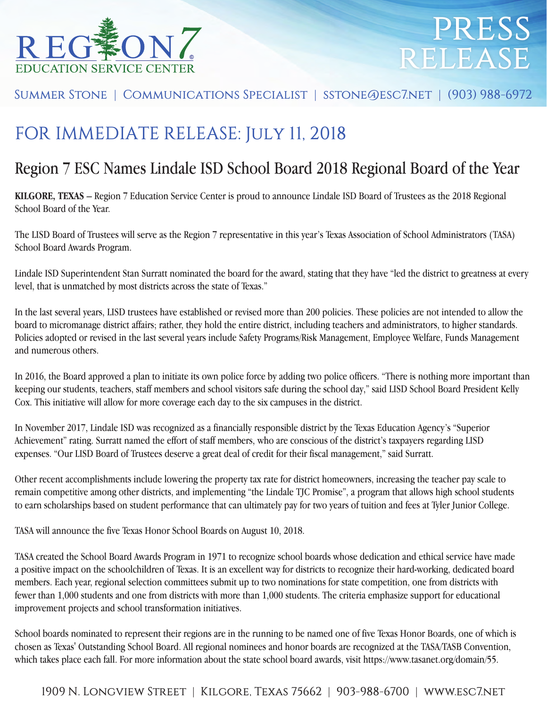

# press release

Summer Stone | Communications Specialist | sstone@esc7.net | (903) 988-6972

### FOR IMMEDIATE RELEASE: July 11, 2018

### Region 7 ESC Names Lindale ISD School Board 2018 Regional Board of the Year

**KILGORE, TEXAS** – Region 7 Education Service Center is proud to announce Lindale ISD Board of Trustees as the 2018 Regional School Board of the Year.

The LISD Board of Trustees will serve as the Region 7 representative in this year's Texas Association of School Administrators (TASA) School Board Awards Program.

Lindale ISD Superintendent Stan Surratt nominated the board for the award, stating that they have "led the district to greatness at every level, that is unmatched by most districts across the state of Texas."

In the last several years, LISD trustees have established or revised more than 200 policies. These policies are not intended to allow the board to micromanage district affairs; rather, they hold the entire district, including teachers and administrators, to higher standards. Policies adopted or revised in the last several years include Safety Programs/Risk Management, Employee Welfare, Funds Management and numerous others.

In 2016, the Board approved a plan to initiate its own police force by adding two police officers. "There is nothing more important than keeping our students, teachers, staff members and school visitors safe during the school day," said LISD School Board President Kelly Cox. This initiative will allow for more coverage each day to the six campuses in the district.

In November 2017, Lindale ISD was recognized as a financially responsible district by the Texas Education Agency's "Superior Achievement" rating. Surratt named the effort of staff members, who are conscious of the district's taxpayers regarding LISD expenses. "Our LISD Board of Trustees deserve a great deal of credit for their fiscal management," said Surratt.

Other recent accomplishments include lowering the property tax rate for district homeowners, increasing the teacher pay scale to remain competitive among other districts, and implementing "the Lindale TJC Promise", a program that allows high school students to earn scholarships based on student performance that can ultimately pay for two years of tuition and fees at Tyler Junior College.

TASA will announce the five Texas Honor School Boards on August 10, 2018.

TASA created the School Board Awards Program in 1971 to recognize school boards whose dedication and ethical service have made a positive impact on the schoolchildren of Texas. It is an excellent way for districts to recognize their hard-working, dedicated board members. Each year, regional selection committees submit up to two nominations for state competition, one from districts with fewer than 1,000 students and one from districts with more than 1,000 students. The criteria emphasize support for educational improvement projects and school transformation initiatives.

School boards nominated to represent their regions are in the running to be named one of five Texas Honor Boards, one of which is chosen as Texas' Outstanding School Board. All regional nominees and honor boards are recognized at the TASA/TASB Convention, which takes place each fall. For more information about the state school board awards, visit https://www.tasanet.org/domain/55.